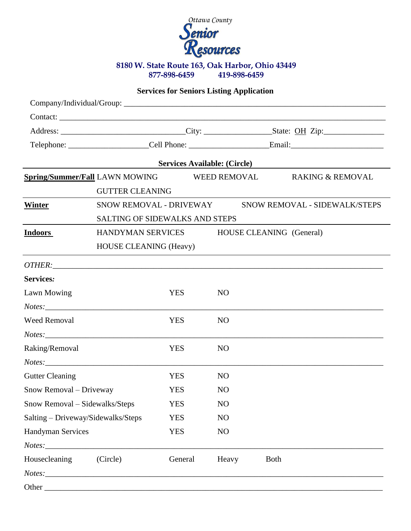

## **Services for Seniors Listing Application**

|                                             | <u> 1989 - Johann Barbara, martin d</u>                  |                                               |                | Services Available: (Circle) |  |  |  |
|---------------------------------------------|----------------------------------------------------------|-----------------------------------------------|----------------|------------------------------|--|--|--|
| Spring/Summer/Fall LAWN MOWING WEED REMOVAL |                                                          |                                               |                | <b>RAKING &amp; REMOVAL</b>  |  |  |  |
|                                             | <b>GUTTER CLEANING</b>                                   |                                               |                |                              |  |  |  |
| Winter                                      | SNOW REMOVAL - DRIVEWAY<br>SNOW REMOVAL - SIDEWALK/STEPS |                                               |                |                              |  |  |  |
|                                             | <b>SALTING OF SIDEWALKS AND STEPS</b>                    |                                               |                |                              |  |  |  |
| <b>Indoors</b>                              |                                                          | HANDYMAN SERVICES<br>HOUSE CLEANING (General) |                |                              |  |  |  |
|                                             |                                                          | <b>HOUSE CLEANING (Heavy)</b>                 |                |                              |  |  |  |
|                                             |                                                          |                                               |                |                              |  |  |  |
| Services:                                   |                                                          |                                               |                |                              |  |  |  |
| Lawn Mowing                                 |                                                          | <b>YES</b>                                    | N <sub>O</sub> |                              |  |  |  |
|                                             |                                                          |                                               |                |                              |  |  |  |
| <b>Weed Removal</b>                         |                                                          | <b>YES</b>                                    | N <sub>O</sub> |                              |  |  |  |
|                                             | $Notes: ____________$                                    |                                               |                |                              |  |  |  |
| Raking/Removal                              |                                                          | <b>YES</b>                                    | N <sub>O</sub> |                              |  |  |  |
|                                             | $Notes: ___________$                                     |                                               |                |                              |  |  |  |
| <b>Gutter Cleaning</b>                      |                                                          | <b>YES</b>                                    | <b>NO</b>      |                              |  |  |  |
| Snow Removal - Driveway                     |                                                          | <b>YES</b>                                    | N <sub>O</sub> |                              |  |  |  |
| Snow Removal - Sidewalks/Steps              |                                                          | <b>YES</b>                                    | N <sub>O</sub> |                              |  |  |  |
| Salting - Driveway/Sidewalks/Steps          |                                                          | <b>YES</b>                                    | NO             |                              |  |  |  |
| Handyman Services                           |                                                          | <b>YES</b>                                    | NO             |                              |  |  |  |
|                                             | Notes:                                                   |                                               |                |                              |  |  |  |
| Housecleaning                               | (Circle)                                                 | General                                       | Heavy          | <b>Both</b>                  |  |  |  |
|                                             |                                                          |                                               |                |                              |  |  |  |
|                                             |                                                          |                                               |                |                              |  |  |  |